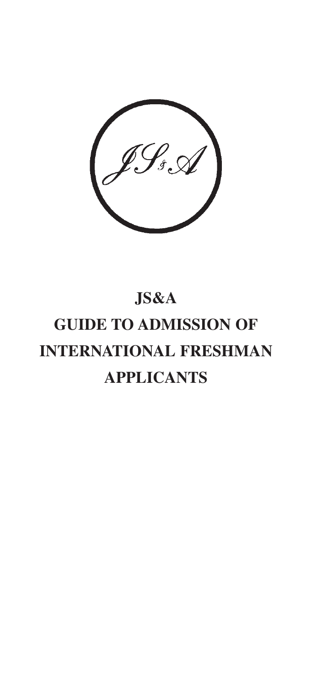

## **JS&A GUIDE TO ADMISSION OF INTERNATIONAL FRESHMAN APPLICANTS**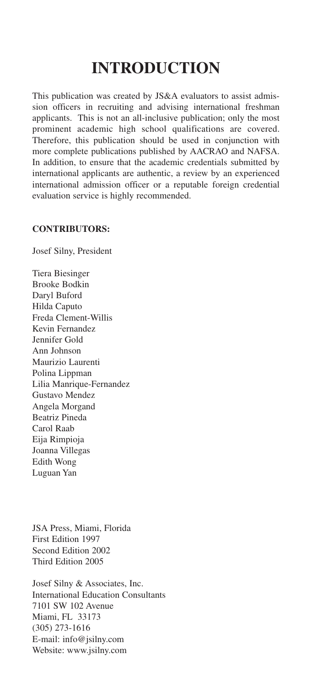## **INTRODUCTION**

This publication was created by JS&A evaluators to assist admission officers in recruiting and advising international freshman applicants. This is not an all-inclusive publication; only the most prominent academic high school qualifications are covered. Therefore, this publication should be used in conjunction with more complete publications published by AACRAO and NAFSA. In addition, to ensure that the academic credentials submitted by international applicants are authentic, a review by an experienced international admission officer or a reputable foreign credential evaluation service is highly recommended.

## **CONTRIBUTORS:**

Josef Silny, President

Tiera Biesinger Brooke Bodkin Daryl Buford Hilda Caputo Freda Clement-Willis Kevin Fernandez Jennifer Gold Ann Johnson Maurizio Laurenti Polina Lippman Lilia Manrique-Fernandez Gustavo Mendez Angela Morgand Beatriz Pineda Carol Raab Eija Rimpioja Joanna Villegas Edith Wong Luguan Yan

JSA Press, Miami, Florida First Edition 1997 Second Edition 2002 Third Edition 2005

Josef Silny & Associates, Inc. International Education Consultants 7101 SW 102 Avenue Miami, FL 33173 (305) 273-1616 E-mail: info@jsilny.com Website: www.jsilny.com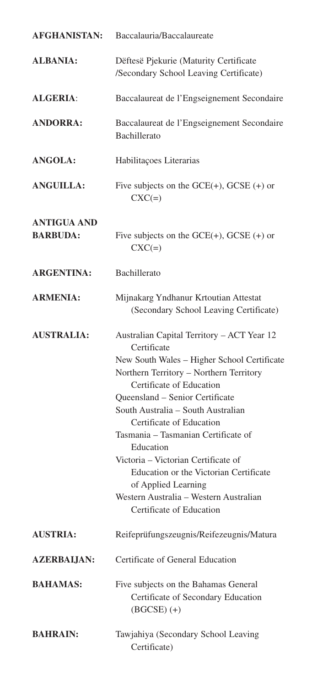| <b>AFGHANISTAN:</b>                   | Baccalauria/Baccalaureate                                                                                                                                                                                                                                                                                                                                                                                                                                                                                              |
|---------------------------------------|------------------------------------------------------------------------------------------------------------------------------------------------------------------------------------------------------------------------------------------------------------------------------------------------------------------------------------------------------------------------------------------------------------------------------------------------------------------------------------------------------------------------|
| <b>ALBANIA:</b>                       | Dëftesë Pjekurie (Maturity Certificate<br>/Secondary School Leaving Certificate)                                                                                                                                                                                                                                                                                                                                                                                                                                       |
| <b>ALGERIA:</b>                       | Baccalaureat de l'Engseignement Secondaire                                                                                                                                                                                                                                                                                                                                                                                                                                                                             |
| <b>ANDORRA:</b>                       | Baccalaureat de l'Engseignement Secondaire<br>Bachillerato                                                                                                                                                                                                                                                                                                                                                                                                                                                             |
| <b>ANGOLA:</b>                        | Habilitações Literarias                                                                                                                                                                                                                                                                                                                                                                                                                                                                                                |
| <b>ANGUILLA:</b>                      | Five subjects on the $GCE(+)$ , $GCSE(+)$ or<br>$CXC(=)$                                                                                                                                                                                                                                                                                                                                                                                                                                                               |
| <b>ANTIGUA AND</b><br><b>BARBUDA:</b> | Five subjects on the $GCE(+)$ , $GCSE(+)$ or<br>$CXC(=)$                                                                                                                                                                                                                                                                                                                                                                                                                                                               |
| <b>ARGENTINA:</b>                     | Bachillerato                                                                                                                                                                                                                                                                                                                                                                                                                                                                                                           |
| <b>ARMENIA:</b>                       | Mijnakarg Yndhanur Krtoutian Attestat<br>(Secondary School Leaving Certificate)                                                                                                                                                                                                                                                                                                                                                                                                                                        |
| <b>AUSTRALIA:</b>                     | Australian Capital Territory - ACT Year 12<br>Certificate<br>New South Wales - Higher School Certificate<br>Northern Territory - Northern Territory<br>Certificate of Education<br>Queensland - Senior Certificate<br>South Australia - South Australian<br>Certificate of Education<br>Tasmania – Tasmanian Certificate of<br>Education<br>Victoria – Victorian Certificate of<br>Education or the Victorian Certificate<br>of Applied Learning<br>Western Australia – Western Australian<br>Certificate of Education |
| <b>AUSTRIA:</b>                       | Reifeprüfungszeugnis/Reifezeugnis/Matura                                                                                                                                                                                                                                                                                                                                                                                                                                                                               |
| <b>AZERBALJAN:</b>                    | Certificate of General Education                                                                                                                                                                                                                                                                                                                                                                                                                                                                                       |
| <b>BAHAMAS:</b>                       | Five subjects on the Bahamas General<br>Certificate of Secondary Education<br>$(BGCSE)$ (+)                                                                                                                                                                                                                                                                                                                                                                                                                            |
| <b>BAHRAIN:</b>                       | Tawjahiya (Secondary School Leaving<br>Certificate)                                                                                                                                                                                                                                                                                                                                                                                                                                                                    |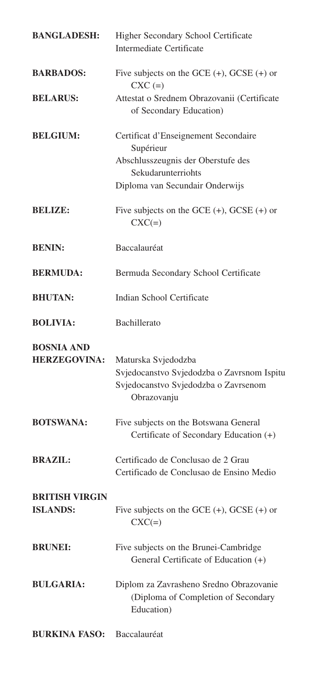| <b>BANGLADESH:</b>                       | Higher Secondary School Certificate<br>Intermediate Certificate                                                          |
|------------------------------------------|--------------------------------------------------------------------------------------------------------------------------|
| <b>BARBADOS:</b>                         | Five subjects on the GCE $(+)$ , GCSE $(+)$ or<br>$CXC (=)$                                                              |
| <b>BELARUS:</b>                          | Attestat o Srednem Obrazovanii (Certificate<br>of Secondary Education)                                                   |
| <b>BELGIUM:</b>                          | Certificat d'Enseignement Secondaire<br>Supérieur<br>Abschlusszeugnis der Oberstufe des<br>Sekudarunterriohts            |
|                                          | Diploma van Secundair Onderwijs                                                                                          |
| <b>BELIZE:</b>                           | Five subjects on the GCE $(+)$ , GCSE $(+)$ or<br>$\text{CXC}(\equiv)$                                                   |
| <b>BENIN:</b>                            | Baccalauréat                                                                                                             |
| <b>BERMUDA:</b>                          | Bermuda Secondary School Certificate                                                                                     |
| <b>BHUTAN:</b>                           | Indian School Certificate                                                                                                |
| <b>BOLIVIA:</b>                          | <b>Bachillerato</b>                                                                                                      |
| <b>BOSNIA AND</b><br><b>HERZEGOVINA:</b> | Maturska Svjedodzba<br>Svjedocanstvo Svjedodzba o Zavrsnom Ispitu<br>Svjedocanstvo Svjedodzba o Zavrsenom<br>Obrazovanju |
| <b>BOTSWANA:</b>                         | Five subjects on the Botswana General<br>Certificate of Secondary Education (+)                                          |
| <b>BRAZIL:</b>                           | Certificado de Conclusao de 2 Grau<br>Certificado de Conclusao de Ensino Medio                                           |
| <b>BRITISH VIRGIN</b><br><b>ISLANDS:</b> | Five subjects on the GCE $(+)$ , GCSE $(+)$ or<br>$CXC(=)$                                                               |
| <b>BRUNEI:</b>                           | Five subjects on the Brunei-Cambridge<br>General Certificate of Education (+)                                            |
| <b>BULGARIA:</b>                         | Diplom za Zavrasheno Sredno Obrazovanie<br>(Diploma of Completion of Secondary<br>Education)                             |
| <b>BURKINA FASO:</b> Baccalauréat        |                                                                                                                          |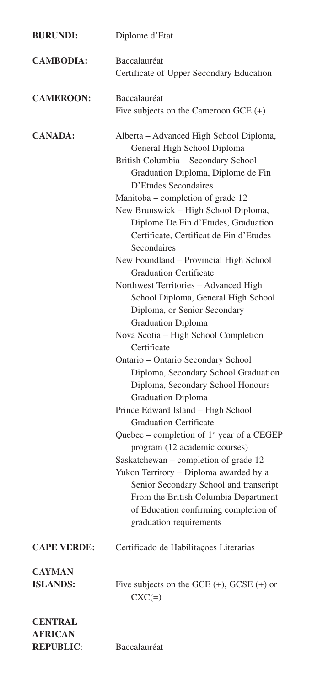| <b>BURUNDI:</b>                  | Diplome d'Etat                                                                                                                                                                                                                                                                                                                                                                                                                                                                                                                                                                                                                                                                                                                                                                                                                                                                                                                                                                                                                                                                                                                                                                                      |
|----------------------------------|-----------------------------------------------------------------------------------------------------------------------------------------------------------------------------------------------------------------------------------------------------------------------------------------------------------------------------------------------------------------------------------------------------------------------------------------------------------------------------------------------------------------------------------------------------------------------------------------------------------------------------------------------------------------------------------------------------------------------------------------------------------------------------------------------------------------------------------------------------------------------------------------------------------------------------------------------------------------------------------------------------------------------------------------------------------------------------------------------------------------------------------------------------------------------------------------------------|
| <b>CAMBODIA:</b>                 | Baccalauréat<br>Certificate of Upper Secondary Education                                                                                                                                                                                                                                                                                                                                                                                                                                                                                                                                                                                                                                                                                                                                                                                                                                                                                                                                                                                                                                                                                                                                            |
| <b>CAMEROON:</b>                 | Baccalauréat<br>Five subjects on the Cameroon GCE $(+)$                                                                                                                                                                                                                                                                                                                                                                                                                                                                                                                                                                                                                                                                                                                                                                                                                                                                                                                                                                                                                                                                                                                                             |
| <b>CANADA:</b>                   | Alberta - Advanced High School Diploma,<br>General High School Diploma<br>British Columbia - Secondary School<br>Graduation Diploma, Diplome de Fin<br>D'Etudes Secondaires<br>Manitoba – completion of grade 12<br>New Brunswick - High School Diploma,<br>Diplome De Fin d'Etudes, Graduation<br>Certificate, Certificat de Fin d'Etudes<br>Secondaires<br>New Foundland - Provincial High School<br><b>Graduation Certificate</b><br>Northwest Territories - Advanced High<br>School Diploma, General High School<br>Diploma, or Senior Secondary<br><b>Graduation Diploma</b><br>Nova Scotia - High School Completion<br>Certificate<br>Ontario - Ontario Secondary School<br>Diploma, Secondary School Graduation<br>Diploma, Secondary School Honours<br><b>Graduation Diploma</b><br>Prince Edward Island - High School<br><b>Graduation Certificate</b><br>Quebec - completion of 1 <sup>st</sup> year of a CEGEP<br>program (12 academic courses)<br>Saskatchewan - completion of grade 12<br>Yukon Territory - Diploma awarded by a<br>Senior Secondary School and transcript<br>From the British Columbia Department<br>of Education confirming completion of<br>graduation requirements |
| <b>CAPE VERDE:</b>               | Certificado de Habilitações Literarias                                                                                                                                                                                                                                                                                                                                                                                                                                                                                                                                                                                                                                                                                                                                                                                                                                                                                                                                                                                                                                                                                                                                                              |
| <b>CAYMAN</b><br><b>ISLANDS:</b> | Five subjects on the GCE $(+)$ , GCSE $(+)$ or<br>$CXC(=)$                                                                                                                                                                                                                                                                                                                                                                                                                                                                                                                                                                                                                                                                                                                                                                                                                                                                                                                                                                                                                                                                                                                                          |
| <b>CENTRAL</b><br><b>AFRICAN</b> |                                                                                                                                                                                                                                                                                                                                                                                                                                                                                                                                                                                                                                                                                                                                                                                                                                                                                                                                                                                                                                                                                                                                                                                                     |

**REPUBLIC**: Baccalauréat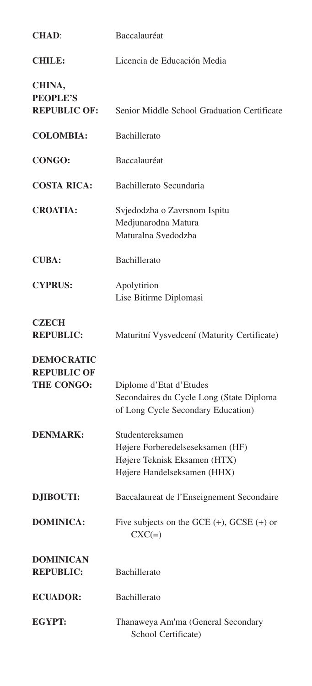| <b>CHAD:</b>                                                 | Baccalauréat                                                                                                        |
|--------------------------------------------------------------|---------------------------------------------------------------------------------------------------------------------|
| <b>CHILE:</b>                                                | Licencia de Educación Media                                                                                         |
| CHINA,<br><b>PEOPLE'S</b><br><b>REPUBLIC OF:</b>             | Senior Middle School Graduation Certificate                                                                         |
| <b>COLOMBIA:</b>                                             | Bachillerato                                                                                                        |
| CONGO:                                                       | Baccalauréat                                                                                                        |
| <b>COSTA RICA:</b>                                           | Bachillerato Secundaria                                                                                             |
| <b>CROATIA:</b>                                              | Svjedodzba o Zavrsnom Ispitu<br>Medjunarodna Matura<br>Maturalna Svedodzba                                          |
| <b>CUBA:</b>                                                 | Bachillerato                                                                                                        |
| <b>CYPRUS:</b>                                               | Apolytirion<br>Lise Bitirme Diplomasi                                                                               |
| <b>CZECH</b><br><b>REPUBLIC:</b>                             | Maturitní Vysvedcení (Maturity Certificate)                                                                         |
| <b>DEMOCRATIC</b><br><b>REPUBLIC OF</b><br><b>THE CONGO:</b> | Diplome d'Etat d'Etudes<br>Secondaires du Cycle Long (State Diploma<br>of Long Cycle Secondary Education)           |
| <b>DENMARK:</b>                                              | Studentereksamen<br>Højere Forberedelseseksamen (HF)<br>Højere Teknisk Eksamen (HTX)<br>Højere Handelseksamen (HHX) |
| <b>DJIBOUTI:</b>                                             | Baccalaureat de l'Enseignement Secondaire                                                                           |
| <b>DOMINICA:</b>                                             | Five subjects on the GCE $(+)$ , GCSE $(+)$ or<br>$CXC(=)$                                                          |
| <b>DOMINICAN</b><br><b>REPUBLIC:</b>                         | Bachillerato                                                                                                        |
| <b>ECUADOR:</b>                                              | Bachillerato                                                                                                        |
| EGYPT:                                                       | Thanaweya Am'ma (General Secondary<br>School Certificate)                                                           |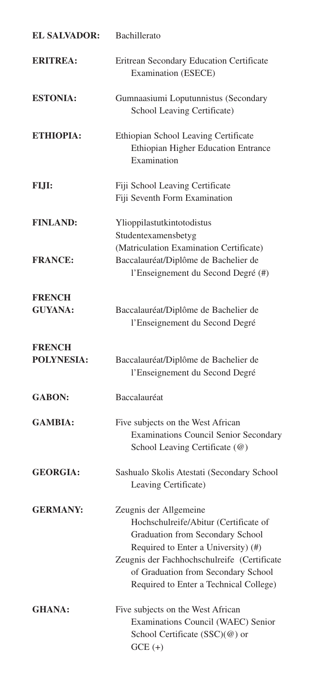| <b>EL SALVADOR:</b>             | Bachillerato                                                                                                                                                                                                                     |
|---------------------------------|----------------------------------------------------------------------------------------------------------------------------------------------------------------------------------------------------------------------------------|
| <b>ERITREA:</b>                 | Eritrean Secondary Education Certificate<br><b>Examination (ESECE)</b>                                                                                                                                                           |
| <b>ESTONIA:</b>                 | Gumnaasiumi Loputunnistus (Secondary<br>School Leaving Certificate)                                                                                                                                                              |
| <b>ETHIOPIA:</b>                | Ethiopian School Leaving Certificate<br>Ethiopian Higher Education Entrance<br>Examination                                                                                                                                       |
| FIJI:                           | Fiji School Leaving Certificate<br>Fiji Seventh Form Examination                                                                                                                                                                 |
| <b>FINLAND:</b>                 | Ylioppilastutkintotodistus<br>Studentexamensbetyg<br>(Matriculation Examination Certificate)                                                                                                                                     |
| <b>FRANCE:</b>                  | Baccalauréat/Diplôme de Bachelier de<br>l'Enseignement du Second Degré (#)                                                                                                                                                       |
| <b>FRENCH</b><br><b>GUYANA:</b> | Baccalauréat/Diplôme de Bachelier de<br>l'Enseignement du Second Degré                                                                                                                                                           |
| <b>FRENCH</b><br>POLYNESIA:     | Baccalauréat/Diplôme de Bachelier de<br>l'Enseignement du Second Degré                                                                                                                                                           |
| <b>GABON:</b>                   | Baccalauréat                                                                                                                                                                                                                     |
| <b>GAMBIA:</b>                  | Five subjects on the West African<br><b>Examinations Council Senior Secondary</b><br>School Leaving Certificate (@)                                                                                                              |
| <b>GEORGIA:</b>                 | Sashualo Skolis Atestati (Secondary School<br>Leaving Certificate)                                                                                                                                                               |
| <b>GERMANY:</b>                 | Zeugnis der Allgemeine<br>Hochschulreife/Abitur (Certificate of<br>Graduation from Secondary School<br>Required to Enter a University) (#)<br>Zeugnis der Fachhochschulreife (Certificate<br>of Graduation from Secondary School |
|                                 | Required to Enter a Technical College)                                                                                                                                                                                           |
| <b>GHANA:</b>                   | Five subjects on the West African<br>Examinations Council (WAEC) Senior<br>School Certificate (SSC)(@) or<br>$GCE (+)$                                                                                                           |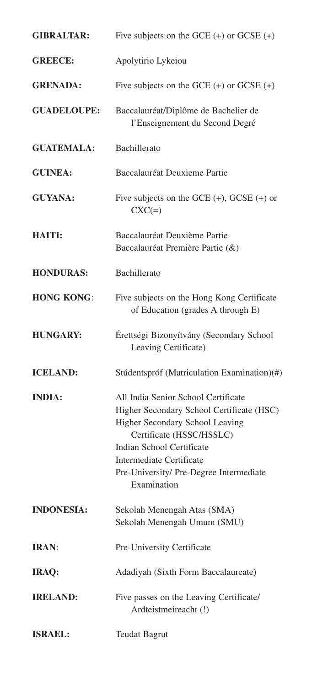| <b>GIBRALTAR:</b>  | Five subjects on the GCE $(+)$ or GCSE $(+)$                                                                                                                                                                                                                              |
|--------------------|---------------------------------------------------------------------------------------------------------------------------------------------------------------------------------------------------------------------------------------------------------------------------|
| <b>GREECE:</b>     | Apolytirio Lykeiou                                                                                                                                                                                                                                                        |
| <b>GRENADA:</b>    | Five subjects on the GCE $(+)$ or GCSE $(+)$                                                                                                                                                                                                                              |
| <b>GUADELOUPE:</b> | Baccalauréat/Diplôme de Bachelier de<br>l'Enseignement du Second Degré                                                                                                                                                                                                    |
| <b>GUATEMALA:</b>  | Bachillerato                                                                                                                                                                                                                                                              |
| <b>GUINEA:</b>     | Baccalauréat Deuxieme Partie                                                                                                                                                                                                                                              |
| <b>GUYANA:</b>     | Five subjects on the GCE $(+)$ , GCSE $(+)$ or<br>$CXC(=)$                                                                                                                                                                                                                |
| <b>HAITI:</b>      | Baccalauréat Deuxième Partie<br>Baccalauréat Première Partie (&)                                                                                                                                                                                                          |
| <b>HONDURAS:</b>   | Bachillerato                                                                                                                                                                                                                                                              |
| <b>HONG KONG:</b>  | Five subjects on the Hong Kong Certificate<br>of Education (grades A through E)                                                                                                                                                                                           |
| <b>HUNGARY:</b>    | Érettségi Bizonyítvány (Secondary School<br>Leaving Certificate)                                                                                                                                                                                                          |
| <b>ICELAND:</b>    | Stúdentspróf (Matriculation Examination)(#)                                                                                                                                                                                                                               |
| <b>INDIA:</b>      | All India Senior School Certificate<br>Higher Secondary School Certificate (HSC)<br>Higher Secondary School Leaving<br>Certificate (HSSC/HSSLC)<br>Indian School Certificate<br><b>Intermediate Certificate</b><br>Pre-University/ Pre-Degree Intermediate<br>Examination |
| <b>INDONESIA:</b>  | Sekolah Menengah Atas (SMA)<br>Sekolah Menengah Umum (SMU)                                                                                                                                                                                                                |
| IRAN:              | Pre-University Certificate                                                                                                                                                                                                                                                |
| IRAQ:              | Adadiyah (Sixth Form Baccalaureate)                                                                                                                                                                                                                                       |
| <b>IRELAND:</b>    | Five passes on the Leaving Certificate/<br>Ardteistmeireacht (!)                                                                                                                                                                                                          |
| <b>ISRAEL:</b>     | <b>Teudat Bagrut</b>                                                                                                                                                                                                                                                      |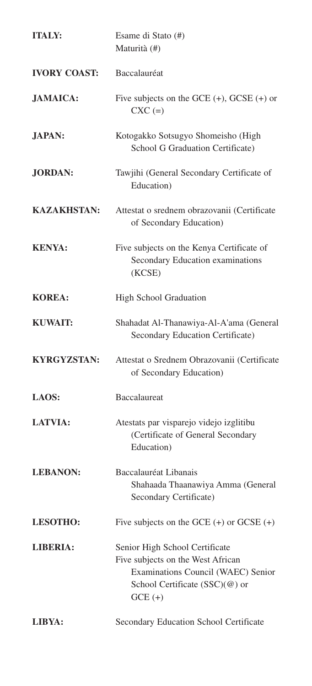| <b>ITALY:</b>       | Esame di Stato (#)<br>Maturità (#)                                                                                                                       |
|---------------------|----------------------------------------------------------------------------------------------------------------------------------------------------------|
| <b>IVORY COAST:</b> | Baccalauréat                                                                                                                                             |
| <b>JAMAICA:</b>     | Five subjects on the GCE $(+)$ , GCSE $(+)$ or<br>$CXC (=)$                                                                                              |
| <b>JAPAN:</b>       | Kotogakko Sotsugyo Shomeisho (High<br>School G Graduation Certificate)                                                                                   |
| <b>JORDAN:</b>      | Tawjihi (General Secondary Certificate of<br>Education)                                                                                                  |
| <b>KAZAKHSTAN:</b>  | Attestat o srednem obrazovanii (Certificate<br>of Secondary Education)                                                                                   |
| <b>KENYA:</b>       | Five subjects on the Kenya Certificate of<br>Secondary Education examinations<br>(KCSE)                                                                  |
| <b>KOREA:</b>       | High School Graduation                                                                                                                                   |
| <b>KUWAIT:</b>      | Shahadat Al-Thanawiya-Al-A'ama (General<br>Secondary Education Certificate)                                                                              |
| <b>KYRGYZSTAN:</b>  | Attestat o Srednem Obrazovanii (Certificate<br>of Secondary Education)                                                                                   |
| LAOS:               | <b>Baccalaureat</b>                                                                                                                                      |
| <b>LATVIA:</b>      | Atestats par visparejo videjo izglitibu<br>(Certificate of General Secondary<br>Education)                                                               |
| <b>LEBANON:</b>     | Baccalauréat Libanais<br>Shahaada Thaanawiya Amma (General<br>Secondary Certificate)                                                                     |
| <b>LESOTHO:</b>     | Five subjects on the GCE $(+)$ or GCSE $(+)$                                                                                                             |
| <b>LIBERIA:</b>     | Senior High School Certificate<br>Five subjects on the West African<br>Examinations Council (WAEC) Senior<br>School Certificate (SSC)(@) or<br>$GCE (+)$ |
| LIBYA:              | Secondary Education School Certificate                                                                                                                   |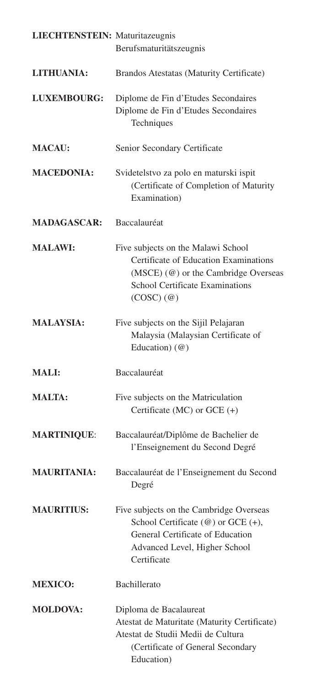| <b>LIECHTENSTEIN:</b> Maturitazeugnis | Berufsmaturitätszeugnis                                                                                                                                                          |
|---------------------------------------|----------------------------------------------------------------------------------------------------------------------------------------------------------------------------------|
| LITHUANIA:                            | Brandos Atestatas (Maturity Certificate)                                                                                                                                         |
| LUXEMBOURG:                           | Diplome de Fin d'Etudes Secondaires<br>Diplome de Fin d'Etudes Secondaires<br>Techniques                                                                                         |
| <b>MACAU:</b>                         | Senior Secondary Certificate                                                                                                                                                     |
| <b>MACEDONIA:</b>                     | Svidetelstvo za polo en maturski ispit<br>(Certificate of Completion of Maturity<br>Examination)                                                                                 |
| <b>MADAGASCAR:</b>                    | Baccalauréat                                                                                                                                                                     |
| <b>MALAWI:</b>                        | Five subjects on the Malawi School<br>Certificate of Education Examinations<br>(MSCE) (@) or the Cambridge Overseas<br>School Certificate Examinations<br>$(COSC)$ $(\emptyset)$ |
| <b>MALAYSIA:</b>                      | Five subjects on the Sijil Pelajaran<br>Malaysia (Malaysian Certificate of<br>Education) (@)                                                                                     |
| <b>MALI:</b>                          | Baccalauréat                                                                                                                                                                     |
| <b>MALTA:</b>                         | Five subjects on the Matriculation<br>Certificate (MC) or GCE $(+)$                                                                                                              |
| <b>MARTINIQUE:</b>                    | Baccalauréat/Diplôme de Bachelier de<br>l'Enseignement du Second Degré                                                                                                           |
| <b>MAURITANIA:</b>                    | Baccalauréat de l'Enseignement du Second<br>Degré                                                                                                                                |
| <b>MAURITIUS:</b>                     | Five subjects on the Cambridge Overseas<br>School Certificate (@) or GCE (+),<br>General Certificate of Education<br>Advanced Level, Higher School<br>Certificate                |
| <b>MEXICO:</b>                        | Bachillerato                                                                                                                                                                     |
| <b>MOLDOVA:</b>                       | Diploma de Bacalaureat<br>Atestat de Maturitate (Maturity Certificate)<br>Atestat de Studii Medii de Cultura<br>(Certificate of General Secondary<br>Education)                  |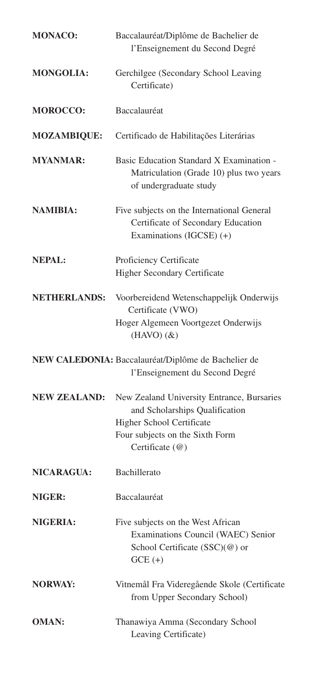| <b>MONACO:</b>      | Baccalauréat/Diplôme de Bachelier de<br>l'Enseignement du Second Degré                                                                                          |
|---------------------|-----------------------------------------------------------------------------------------------------------------------------------------------------------------|
| <b>MONGOLIA:</b>    | Gerchilgee (Secondary School Leaving<br>Certificate)                                                                                                            |
| <b>MOROCCO:</b>     | Baccalauréat                                                                                                                                                    |
| <b>MOZAMBIQUE:</b>  | Certificado de Habilitações Literárias                                                                                                                          |
| <b>MYANMAR:</b>     | Basic Education Standard X Examination -<br>Matriculation (Grade 10) plus two years<br>of undergraduate study                                                   |
| <b>NAMIBIA:</b>     | Five subjects on the International General<br>Certificate of Secondary Education<br>Examinations (IGCSE) (+)                                                    |
| <b>NEPAL:</b>       | Proficiency Certificate<br><b>Higher Secondary Certificate</b>                                                                                                  |
| <b>NETHERLANDS:</b> | Voorbereidend Wetenschappelijk Onderwijs<br>Certificate (VWO)<br>Hoger Algemeen Voortgezet Onderwijs<br>$(HAVO)(\&)$                                            |
|                     | NEW CALEDONIA: Baccalauréat/Diplôme de Bachelier de<br>l'Enseignement du Second Degré                                                                           |
| <b>NEW ZEALAND:</b> | New Zealand University Entrance, Bursaries<br>and Scholarships Qualification<br>Higher School Certificate<br>Four subjects on the Sixth Form<br>Certificate (@) |
| <b>NICARAGUA:</b>   | Bachillerato                                                                                                                                                    |
| NIGER:              | Baccalauréat                                                                                                                                                    |
| <b>NIGERIA:</b>     | Five subjects on the West African<br>Examinations Council (WAEC) Senior<br>School Certificate (SSC)(@) or<br>$GCE (+)$                                          |
| <b>NORWAY:</b>      | Vitnemål Fra Videregående Skole (Certificate<br>from Upper Secondary School)                                                                                    |
| <b>OMAN:</b>        | Thanawiya Amma (Secondary School<br>Leaving Certificate)                                                                                                        |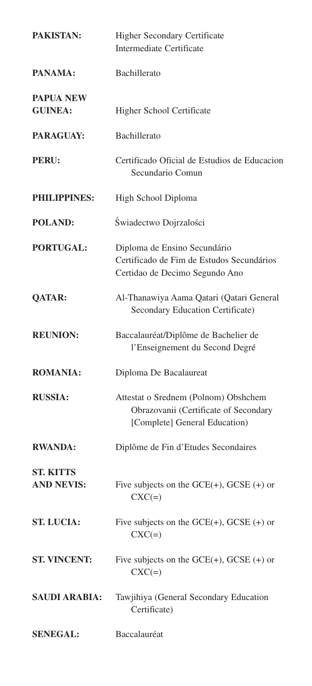| PAKISTAN:                             | <b>Higher Secondary Certificate</b><br>Intermediate Certificate                                                |
|---------------------------------------|----------------------------------------------------------------------------------------------------------------|
| PANAMA:                               | Bachillerato                                                                                                   |
| <b>PAPUA NEW</b><br><b>GUINEA:</b>    | Higher School Certificate                                                                                      |
| <b>PARAGUAY:</b>                      | Bachillerato                                                                                                   |
| PERU:                                 | Certificado Oficial de Estudios de Educacion<br>Secundario Comun                                               |
| PHILIPPINES:                          | High School Diploma                                                                                            |
| <b>POLAND:</b>                        | Świadectwo Dojrzalości                                                                                         |
| <b>PORTUGAL:</b>                      | Diploma de Ensino Secundário<br>Certificado de Fim de Estudos Secundários<br>Certidao de Decimo Segundo Ano    |
| <b>QATAR:</b>                         | Al-Thanawiya Aama Qatari (Qatari General<br>Secondary Education Certificate)                                   |
| <b>REUNION:</b>                       | Baccalauréat/Diplôme de Bachelier de<br>l'Enseignement du Second Degré                                         |
| <b>ROMANIA:</b>                       | Diploma De Bacalaureat                                                                                         |
| <b>RUSSIA:</b>                        | Attestat o Srednem (Polnom) Obshchem<br>Obrazovanii (Certificate of Secondary<br>[Complete] General Education) |
| <b>RWANDA:</b>                        | Diplôme de Fin d'Etudes Secondaires                                                                            |
| <b>ST. KITTS</b><br><b>AND NEVIS:</b> | Five subjects on the $GCE(+)$ , $GCSE(+)$ or<br>$CXC(=)$                                                       |
| <b>ST. LUCIA:</b>                     | Five subjects on the $GCE(+)$ , $GCSE(+)$ or<br>$CXC(=)$                                                       |
| <b>ST. VINCENT:</b>                   | Five subjects on the $GCE(+)$ , $GCSE(+)$ or<br>$CXC(=)$                                                       |
| <b>SAUDI ARABIA:</b>                  | Tawjihiya (General Secondary Education<br>Certificate)                                                         |
| <b>SENEGAL:</b>                       | Baccalauréat                                                                                                   |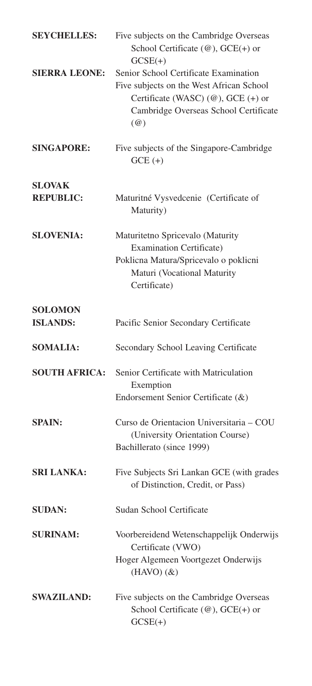| <b>SEYCHELLES:</b>                | Five subjects on the Cambridge Overseas<br>School Certificate $(\omega)$ , GCE(+) or<br>$GCSE(+)$                                                                                   |
|-----------------------------------|-------------------------------------------------------------------------------------------------------------------------------------------------------------------------------------|
| <b>SIERRA LEONE:</b>              | Senior School Certificate Examination<br>Five subjects on the West African School<br>Certificate (WASC) (@), GCE (+) or<br>Cambridge Overseas School Certificate<br>$(\mathcal{Q})$ |
| <b>SINGAPORE:</b>                 | Five subjects of the Singapore-Cambridge<br>$GCE (+)$                                                                                                                               |
| <b>SLOVAK</b>                     |                                                                                                                                                                                     |
| <b>REPUBLIC:</b>                  | Maturitné Vysvedcenie (Certificate of<br>Maturity)                                                                                                                                  |
| <b>SLOVENIA:</b>                  | Maturitetno Spricevalo (Maturity<br><b>Examination Certificate)</b><br>Poklicna Matura/Spricevalo o poklicni<br>Maturi (Vocational Maturity<br>Certificate)                         |
| <b>SOLOMON</b><br><b>ISLANDS:</b> | Pacific Senior Secondary Certificate                                                                                                                                                |
| <b>SOMALIA:</b>                   | Secondary School Leaving Certificate                                                                                                                                                |
| <b>SOUTH AFRICA:</b>              | Senior Certificate with Matriculation<br>Exemption<br>Endorsement Senior Certificate (&)                                                                                            |
| <b>SPAIN:</b>                     | Curso de Orientacion Universitaria - COU<br>(University Orientation Course)<br>Bachillerato (since 1999)                                                                            |
| <b>SRI LANKA:</b>                 | Five Subjects Sri Lankan GCE (with grades<br>of Distinction, Credit, or Pass)                                                                                                       |
| <b>SUDAN:</b>                     | Sudan School Certificate                                                                                                                                                            |
| <b>SURINAM:</b>                   | Voorbereidend Wetenschappelijk Onderwijs<br>Certificate (VWO)<br>Hoger Algemeen Voortgezet Onderwijs<br>$(HAVO)(\&)$                                                                |
| <b>SWAZILAND:</b>                 | Five subjects on the Cambridge Overseas<br>School Certificate $(\omega)$ , GCE(+) or<br>$GCSE(+)$                                                                                   |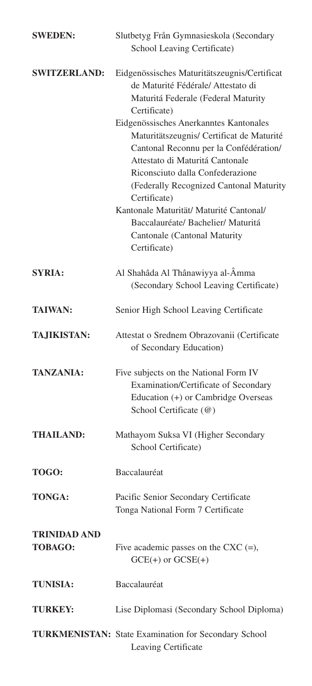| <b>SWEDEN:</b>                        | Slutbetyg Från Gymnasieskola (Secondary<br>School Leaving Certificate)                                                                                                                                                                                                                                                                                                                                                                                                                                                                       |
|---------------------------------------|----------------------------------------------------------------------------------------------------------------------------------------------------------------------------------------------------------------------------------------------------------------------------------------------------------------------------------------------------------------------------------------------------------------------------------------------------------------------------------------------------------------------------------------------|
| <b>SWITZERLAND:</b>                   | Eidgenössisches Maturitätszeugnis/Certificat<br>de Maturité Fédérale/Attestato di<br>Maturitá Federale (Federal Maturity<br>Certificate)<br>Eidgenössisches Anerkanntes Kantonales<br>Maturitätszeugnis/ Certificat de Maturité<br>Cantonal Reconnu per la Confédération/<br>Attestato di Maturitá Cantonale<br>Riconsciuto dalla Confederazione<br>(Federally Recognized Cantonal Maturity<br>Certificate)<br>Kantonale Maturität/ Maturité Cantonal/<br>Baccalauréate/ Bachelier/ Maturitá<br>Cantonale (Cantonal Maturity<br>Certificate) |
| <b>SYRIA:</b>                         | Al Shahâda Al Thânawiyya al-Âmma<br>(Secondary School Leaving Certificate)                                                                                                                                                                                                                                                                                                                                                                                                                                                                   |
| <b>TAIWAN:</b>                        | Senior High School Leaving Certificate                                                                                                                                                                                                                                                                                                                                                                                                                                                                                                       |
| TA,JIKISTAN:                          | Attestat o Srednem Obrazovanii (Certificate<br>of Secondary Education)                                                                                                                                                                                                                                                                                                                                                                                                                                                                       |
| <b>TANZANIA:</b>                      | Five subjects on the National Form IV<br>Examination/Certificate of Secondary<br>Education (+) or Cambridge Overseas<br>School Certificate (@)                                                                                                                                                                                                                                                                                                                                                                                               |
| <b>THAILAND:</b>                      | Mathayom Suksa VI (Higher Secondary<br>School Certificate)                                                                                                                                                                                                                                                                                                                                                                                                                                                                                   |
| TOGO:                                 | Baccalauréat                                                                                                                                                                                                                                                                                                                                                                                                                                                                                                                                 |
| TONGA:                                | Pacific Senior Secondary Certificate<br>Tonga National Form 7 Certificate                                                                                                                                                                                                                                                                                                                                                                                                                                                                    |
| <b>TRINIDAD AND</b><br><b>TOBAGO:</b> | Five academic passes on the CXC $(=)$ ,<br>$GCE(+)$ or $GCSE(+)$                                                                                                                                                                                                                                                                                                                                                                                                                                                                             |
| <b>TUNISIA:</b>                       | Baccalauréat                                                                                                                                                                                                                                                                                                                                                                                                                                                                                                                                 |
| <b>TURKEY:</b>                        | Lise Diplomasi (Secondary School Diploma)                                                                                                                                                                                                                                                                                                                                                                                                                                                                                                    |
|                                       | TURKMENISTAN: State Examination for Secondary School<br>Leaving Certificate                                                                                                                                                                                                                                                                                                                                                                                                                                                                  |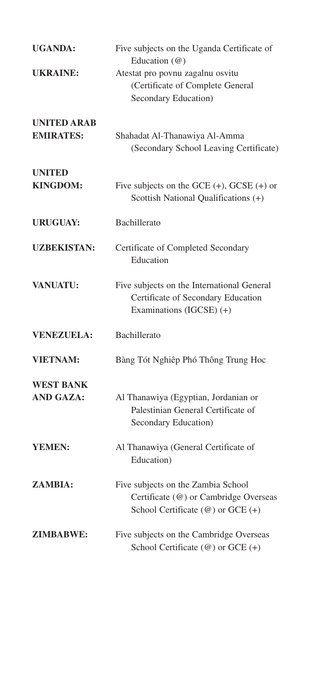| <b>UGANDA:</b>                         | Five subjects on the Uganda Certificate of<br>Education (@)                                                               |
|----------------------------------------|---------------------------------------------------------------------------------------------------------------------------|
| <b>UKRAINE:</b>                        | Atestat pro povnu zagalnu osvitu<br>(Certificate of Complete General<br>Secondary Education)                              |
| <b>UNITED ARAB</b><br><b>EMIRATES:</b> | Shahadat Al-Thanawiya Al-Amma<br>(Secondary School Leaving Certificate)                                                   |
| <b>UNITED</b><br><b>KINGDOM:</b>       | Five subjects on the GCE $(+)$ , GCSE $(+)$ or<br>Scottish National Qualifications (+)                                    |
| <b>URUGUAY:</b>                        | Bachillerato                                                                                                              |
| <b>UZBEKISTAN:</b>                     | Certificate of Completed Secondary<br>Education                                                                           |
| <b>VANUATU:</b>                        | Five subjects on the International General<br>Certificate of Secondary Education<br>Examinations (IGCSE) (+)              |
| <b>VENEZUELA:</b>                      | Bachillerato                                                                                                              |
| <b>VIETNAM:</b>                        | Bàng Tót Nghiêp Phó Thông Trung Hoc                                                                                       |
| <b>WEST BANK</b><br><b>AND GAZA:</b>   | Al Thanawiya (Egyptian, Jordanian or<br>Palestinian General Certificate of<br>Secondary Education)                        |
| YEMEN:                                 | Al Thanawiya (General Certificate of<br>Education)                                                                        |
| ZAMBIA:                                | Five subjects on the Zambia School<br>Certificate (@) or Cambridge Overseas<br>School Certificate $(\omega)$ or GCE $(+)$ |
| <b>ZIMBABWE:</b>                       | Five subjects on the Cambridge Overseas<br>School Certificate (@) or GCE (+)                                              |